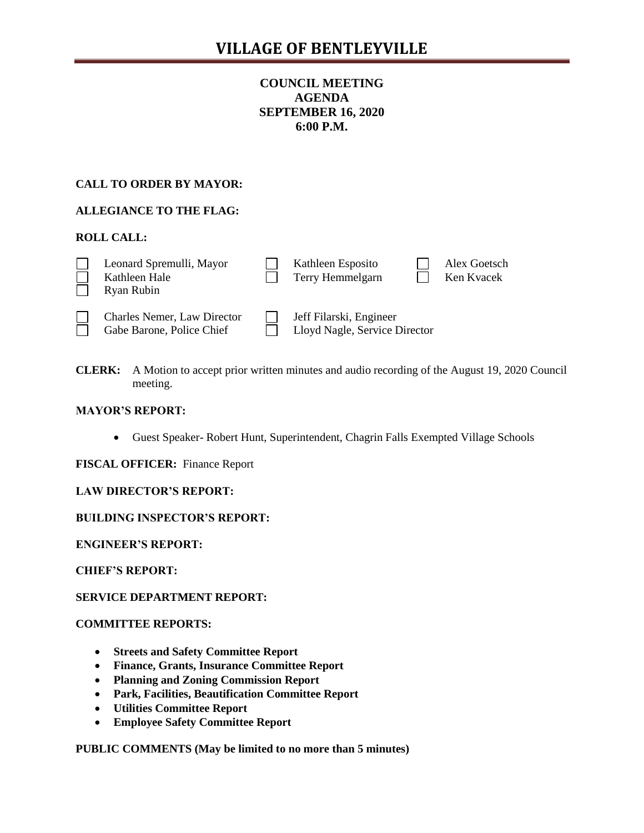## **COUNCIL MEETING AGENDA SEPTEMBER 16, 2020 6:00 P.M.**

## **CALL TO ORDER BY MAYOR:**

## **ALLEGIANCE TO THE FLAG:**

## **ROLL CALL:**

|  | Leonard Spremulli, Mayor<br>Kathleen Hale<br>Ryan Rubin |  | Kathleen Esposito<br>Terry Hemmelgarn |  | Alex Goetsch<br>Ken Kvacek |
|--|---------------------------------------------------------|--|---------------------------------------|--|----------------------------|
|--|---------------------------------------------------------|--|---------------------------------------|--|----------------------------|

Charles Nemer, Law Director Jeff Filarski, Engineer

Gabe Barone, Police Chief  $\Box$  Lloyd Nagle, Service Director

**CLERK:** A Motion to accept prior written minutes and audio recording of the August 19, 2020 Council meeting.

## **MAYOR'S REPORT:**

Guest Speaker- Robert Hunt, Superintendent, Chagrin Falls Exempted Village Schools

**FISCAL OFFICER:** Finance Report

**LAW DIRECTOR'S REPORT:**

**BUILDING INSPECTOR'S REPORT:**

**ENGINEER'S REPORT:**

**CHIEF'S REPORT:**

**SERVICE DEPARTMENT REPORT:**

#### **COMMITTEE REPORTS:**

- **Streets and Safety Committee Report**
- **Finance, Grants, Insurance Committee Report**
- **Planning and Zoning Commission Report**
- **Park, Facilities, Beautification Committee Report**
- **Utilities Committee Report**
- **Employee Safety Committee Report**

**PUBLIC COMMENTS (May be limited to no more than 5 minutes)**